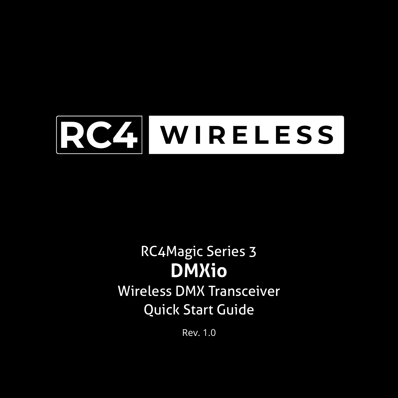

# RC4Magic Series 3 **DMXio** Wireless DMX Transceiver Quick Start Guide

Rev. 1.0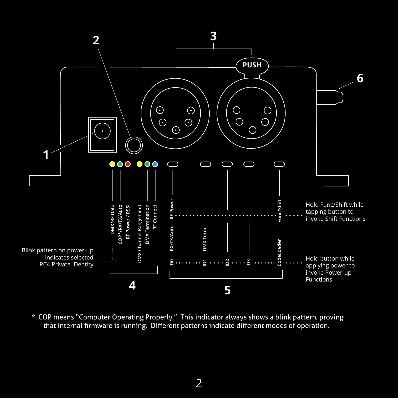

\* COP means "Computer Operating Properly." This indicator always shows a blink pattern, proving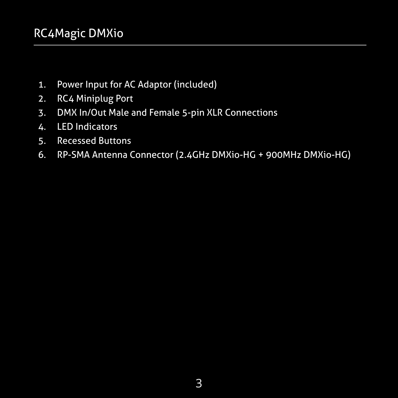- 1. Power Input for AC Adaptor (included)
- 2. RC4 Miniplug Port
- 3. DMX In/Out Male and Female 5-pin XLR Connections
- 4. LED Indicators
- 5. Recessed Buttons
- 6. RP-SMA Antenna Connector (2.4GHz DMXio-HG + 900MHz DMXio-HG)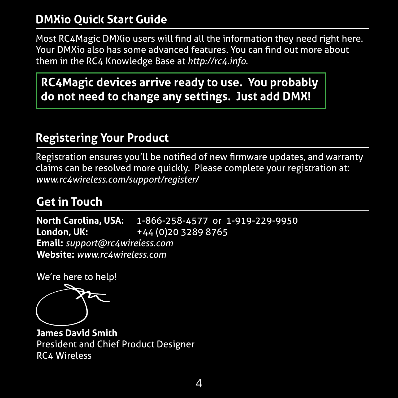#### **DMXio Quick Start Guide**

Most RC4Magic DMXio users will find all the information they need right here. Your DMXio also has some advanced features. You can find out more about them in the RC4 Knowledge Base at *http://rc4.info*.

**RC4Magic devices arrive ready to use. You probably do not need to change any settings. Just add DMX!**

#### **Registering Your Product**

Registration ensures you'll be notified of new firmware updates, and warranty claims can be resolved more quickly. Please complete your registration at: *www.rc4wireless.com/support/register/*

#### **Get in Touch**

**North Carolina, USA:** 1-866-258-4577 or 1-919-229-9950 **London, UK:** +44 (0)20 3289 8765 **Email:** *support@rc4wireless.com* **Website:** *www.rc4wireless.com*

We're here to help!

כל

**James David Smith** President and Chief Product Designer RC4 Wireless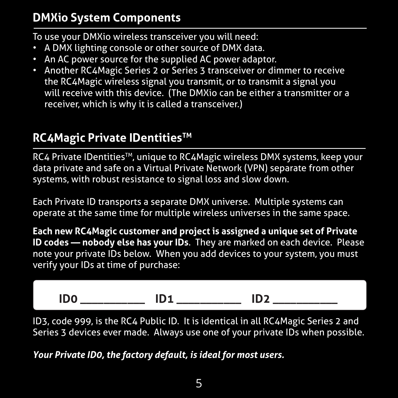### **DMXio System Components**

To use your DMXio wireless transceiver you will need:

- A DMX lighting console or other source of DMX data.
- An AC power source for the supplied AC power adaptor.
- Another RC4Magic Series 2 or Series 3 transceiver or dimmer to receive the RC4Magic wireless signal you transmit, or to transmit a signal you will receive with this device. (The DMXio can be either a transmitter or a receiver, which is why it is called a transceiver.)

# **RC4Magic Private IDentitiesTM**

RC4 Private IDentities™, unique to RC4Magic wireless DMX systems, keep your data private and safe on a Virtual Private Network (VPN) separate from other systems, with robust resistance to signal loss and slow down.

Each Private ID transports a separate DMX universe. Multiple systems can operate at the same time for multiple wireless universes in the same space.

**Each new RC4Magic customer and project is assigned a unique set of Private ID codes — nobody else has your IDs**. They are marked on each device. Please note your private IDs below. When you add devices to your system, you must verify your IDs at time of purchase:

$$
ID0 \qquad \qquad ID1 \qquad \qquad ID2 \qquad \qquad ID2
$$

ID3, code 999, is the RC4 Public ID. It is identical in all RC4Magic Series 2 and Series 3 devices ever made. Always use one of your private IDs when possible.

*Your Private ID0, the factory default, is ideal for most users.*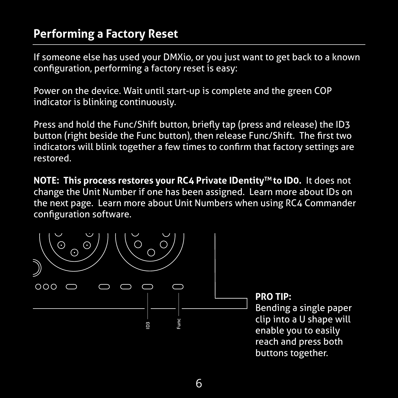#### **Performing a Factory Reset**

If someone else has used your DMXio, or you just want to get back to a known configuration, performing a factory reset is easy:

Power on the device. Wait until start-up is complete and the green COP indicator is blinking continuously.

Press and hold the Func/Shift button, briefly tap (press and release) the ID3 button (right beside the Func button), then release Func/Shift. The first two indicators will blink together a few times to confirm that factory settings are restored.

**NOTE: This process restores your RC4 Private IDentity™ to ID0.** It does not change the Unit Number if one has been assigned. Learn more about IDs on the next page. Learn more about Unit Numbers when using RC4 Commander configuration software.

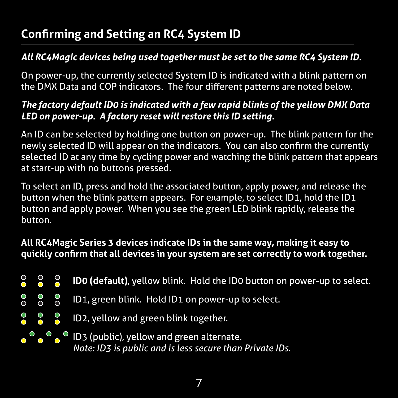# **Confirming and Setting an RC4 System ID**

#### *All RC4Magic devices being used together must be set to the same RC4 System ID.*

On power-up, the currently selected System ID is indicated with a blink pattern on the DMX Data and COP indicators. The four different patterns are noted below.

#### *The factory default ID0 is indicated with a few rapid blinks of the yellow DMX Data LED on power-up. A factory reset will restore this ID setting.*

An ID can be selected by holding one button on power-up. The blink pattern for the newly selected ID will appear on the indicators. You can also confirm the currently selected ID at any time by cycling power and watching the blink pattern that appears at start-up with no buttons pressed.

To select an ID, press and hold the associated button, apply power, and release the button when the blink pattern appears. For example, to select ID1, hold the ID1 button and apply power. When you see the green LED blink rapidly, release the button.

#### **All RC4Magic Series 3 devices indicate IDs in the same way, making it easy to quickly confirm that all devices in your system are set correctly to work together.**

- $\bullet$  $\frac{1}{2}$ **ID0 (default)**, yellow blink. Hold the ID0 button on power-up to select.
- $\overline{O}$ ၁၀<br>၁၀ ID1, green blink. Hold ID1 on power-up to select.
- $\begin{array}{ccc} 0 & 0 & 0 \\ 0 & 0 & 0 \end{array}$ ID2, yellow and green blink together.

 $\overline{\bullet}$   $\overline{\bullet}$   $\overline{\bullet}$  ID3 (public), yellow and green alternate. *Note: ID3 is public and is less secure than Private IDs.*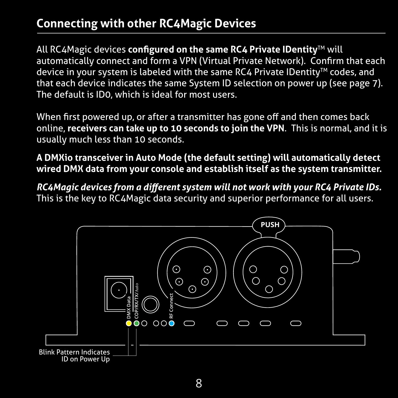# **Connecting with other RC4Magic Devices**

All RC4Magic devices **configured on the same RC4 Private IDentity**TM will automatically connect and form a VPN (Virtual Private Network). Confirm that each device in your system is labeled with the same RC4 Private IDentity™ codes, and that each device indicates the same System ID selection on power up (see page 7). The default is ID0, which is ideal for most users.

When first powered up, or after a transmitter has gone off and then comes back online, **receivers can take up to 10 seconds to join the VPN**. This is normal, and it is usually much less than 10 seconds.

**A DMXio transceiver in Auto Mode (the default setting) will automatically detect wired DMX data from your console and establish itself as the system transmitter.**

*RC4Magic devices from a different system will not work with your RC4 Private IDs.*  This is the key to RC4Magic data security and superior performance for all users.

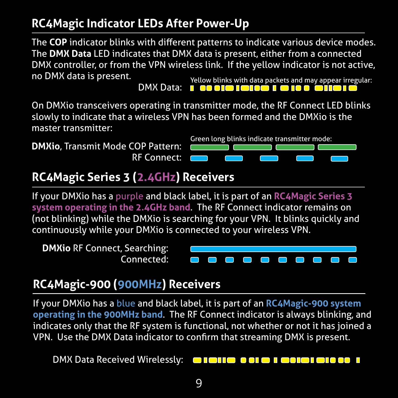# **RC4Magic Indicator LEDs After Power-Up**

**Times 2018**<br>The COP indicator blinks with different patterns to indicate various device modes. DMX Controller, or from<br>no DMX data is present. The **DMX Data** LED indicates that DMX data is present, either from a connected DMX controller, or from the VPN wireless link. If the yellow indicator is not active,

Yellow blinks with data packets and may appear irregular:<br>**In the only separate and a control on the control of the control of the control of the control of the control o** DMX Data:

On DMXio transceivers operating in transmitter mode, the RF Connect LED blinks slowly to indicate that a wireless VPN has been formed and the DMXio is the master transmitter:

**DMXio**, Transmit Mode COP Pattern: RF Connect:



# **RC4Magic Series 3 (2.4GHz) Receivers**

If your DMXio has a purple and black label, it is part of an **RC4Magic Series 3 system operating in the 2.4GHz band**. The RF Connect indicator remains on (not blinking) while the DMXio is searching for your VPN. It blinks quickly and continuously while your DMXio is connected to your wireless VPN.



# **RC4Magic-900 (900MHz) Receivers**

If your DMXio has a blue and black label, it is part of an **RC4Magic-900 system operating in the 900MHz band**. The RF Connect indicator is always blinking, and indicates only that the RF system is functional, not whether or not it has joined a VPN. Use the DMX Data indicator to confirm that streaming DMX is present.

 DMX Data Received Wirelessly:o lollo ocio i ocio i olo se i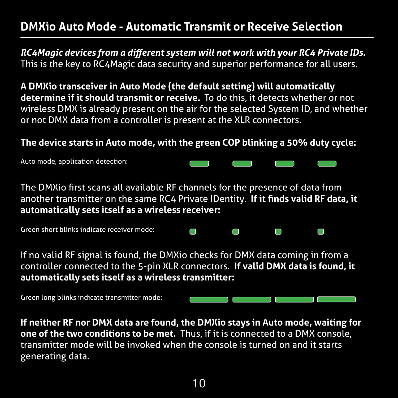#### **DMXio Auto Mode - Automatic Transmit or Receive Selection**

*RC4Magic devices from a different system will not work with your RC4 Private IDs.*  This is the key to RC4Magic data security and superior performance for all users.

**A DMXio transceiver in Auto Mode (the default setting) will automatically determine if it should transmit or receive.** To do this, it detects whether or not wireless DMX is already present on the air for the selected System ID, and whether or not DMX data from a controller is present at the XLR connectors.

#### **The device starts in Auto mode, with the green COP blinking a 50% duty cycle:**

Auto mode, application detection:

The DMXio first scans all available RF channels for the presence of data from another transmitter on the same RC4 Private IDentity. **If it finds valid RF data, it automatically sets itself as a wireless receiver:**

C

n

C

⊓

Green short blinks indicate receiver mode:

If no valid RF signal is found, the DMXio checks for DMX data coming in from a controller connected to the 5-pin XLR connectors. **If valid DMX data is found, it automatically sets itself as a wireless transmitter:**

Green long blinks indicate transmitter mode:

**If neither RF nor DMX data are found, the DMXio stays in Auto mode, waiting for one of the two conditions to be met.** Thus, if it is connected to a DMX console, transmitter mode will be invoked when the console is turned on and it starts generating data.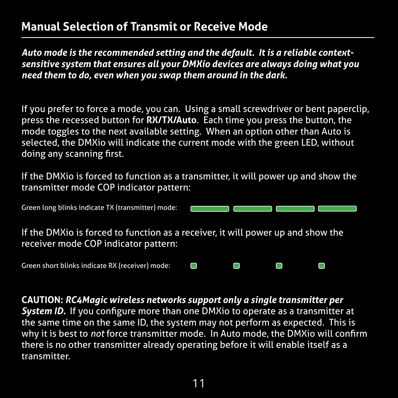#### **Manual Selection of Transmit or Receive Mode**

*Auto mode is the recommended setting and the default. It is a reliable contextsensitive system that ensures all your DMXio devices are always doing what you need them to do, even when you swap them around in the dark.*

If you prefer to force a mode, you can. Using a small screwdriver or bent paperclip, press the recessed button for **RX/TX/Auto**. Each time you press the button, the mode toggles to the next available setting. When an option other than Auto is selected, the DMXio will indicate the current mode with the green LED, without doing any scanning first.

If the DMXio is forced to function as a transmitter, it will power up and show the transmitter mode COP indicator pattern:

| Green long blinks indicate TX (transmitter) mode:                                                                       |   |                                                                                                                       |  |
|-------------------------------------------------------------------------------------------------------------------------|---|-----------------------------------------------------------------------------------------------------------------------|--|
| If the DMXio is forced to function as a receiver, it will power up and show the<br>receiver mode COP indicator pattern: |   |                                                                                                                       |  |
| Green short blinks indicate RX (receiver) mode:                                                                         | Ċ | <b>The Contract of the Contract of the Contract of the Contract of the Contract of the Contract of the Contract o</b> |  |

**CAUTION:** *RC4Magic wireless networks support only a single transmitter per*  **System ID.** If you configure more than one DMXio to operate as a transmitter at the same time on the same ID, the system may not perform as expected. This is why it is best to *not* force transmitter mode. In Auto mode, the DMXio will confirm there is no other transmitter already operating before it will enable itself as a transmitter.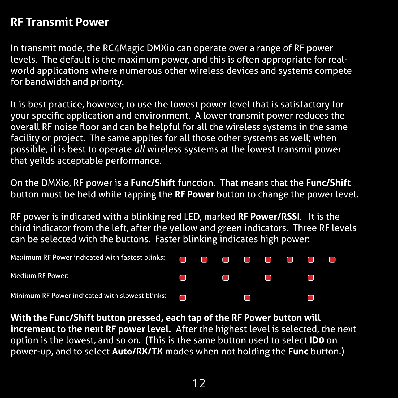#### **RF Transmit Power**

In transmit mode, the RC4Magic DMXio can operate over a range of RF power levels. The default is the maximum power, and this is often appropriate for realworld applications where numerous other wireless devices and systems compete for bandwidth and priority.

It is best practice, however, to use the lowest power level that is satisfactory for your specific application and environment. A lower transmit power reduces the overall RF noise floor and can be helpful for all the wireless systems in the same facility or project. The same applies for all those other systems as well; when possible, it is best to operate *all* wireless systems at the lowest transmit power that yeilds acceptable performance.

On the DMXio, RF power is a **Func/Shift** function. That means that the **Func/Shift** button must be held while tapping the **RF Power** button to change the power level.

RF power is indicated with a blinking red LED, marked **RF Power/RSSI**. It is the third indicator from the left, after the yellow and green indicators. Three RF levels can be selected with the buttons. Faster blinking indicates high power:

| <b>Medium RF Power:</b>                                |  |                                                                                                                     |  |  |  |
|--------------------------------------------------------|--|---------------------------------------------------------------------------------------------------------------------|--|--|--|
| Minimum RF Power indicated with slowest blinks: $\Box$ |  | and the contract of the contract of the contract of the contract of the contract of the contract of the contract of |  |  |  |

**With the Func/Shift button pressed, each tap of the RF Power button will increment to the next RF power level.** After the highest level is selected, the next option is the lowest, and so on. (This is the same button used to select **ID0** on power-up, and to select **Auto/RX/TX** modes when not holding the **Func** button.)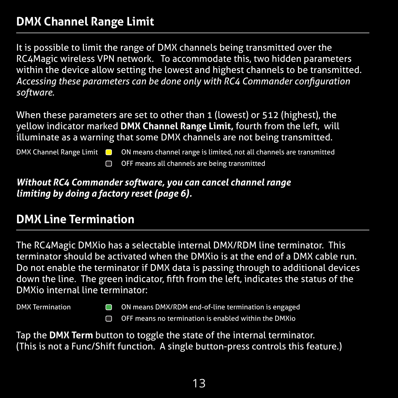### **DMX Channel Range Limit**

It is possible to limit the range of DMX channels being transmitted over the RC4Magic wireless VPN network. To accommodate this, two hidden parameters within the device allow setting the lowest and highest channels to be transmitted. *Accessing these parameters can be done only with RC4 Commander configuration software*.

When these parameters are set to other than 1 (lowest) or 512 (highest), the yellow indicator marked **DMX Channel Range Limit,** fourth from the left, will illuminate as a warning that some DMX channels are not being transmitted.

- DMX Channel Range Limit  $\Box$  ON means channel range is limited, not all channels are transmitted
	- OFF means all channels are being transmitted

#### *Without RC4 Commander software, you can cancel channel range limiting by doing a factory reset (page 6).*

#### **DMX Line Termination**

The RC4Magic DMXio has a selectable internal DMX/RDM line terminator. This terminator should be activated when the DMXio is at the end of a DMX cable run. Do not enable the terminator if DMX data is passing through to additional devices down the line. The green indicator, fifth from the left, indicates the status of the DMXio internal line terminator:

DMX Termination **CON** ON means DMX/RDM end-of-line termination is engaged  $\cap$  OFF means no termination is enabled within the DMXio

Tap the **DMX Term** button to toggle the state of the internal terminator. (This is not a Func/Shift function. A single button-press controls this feature.)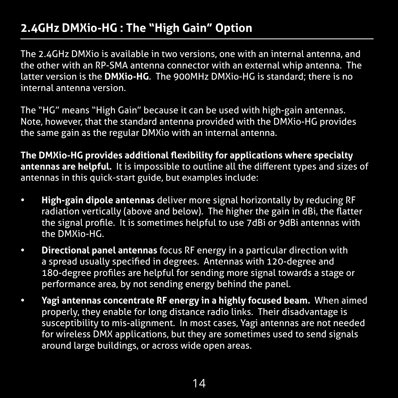### **2.4GHz DMXio-HG : The "High Gain" Option**

The 2.4GHz DMXio is available in two versions, one with an internal antenna, and the other with an RP-SMA antenna connector with an external whip antenna. The latter version is the **DMXio-HG**. The 900MHz DMXio-HG is standard; there is no internal antenna version.

The "HG" means "High Gain" because it can be used with high-gain antennas. Note, however, that the standard antenna provided with the DMXio-HG provides the same gain as the regular DMXio with an internal antenna.

**The DMXio-HG provides additional flexibility for applications where specialty antennas are helpful.** It is impossible to outline all the different types and sizes of antennas in this quick-start guide, but examples include:

- **• High-gain dipole antennas** deliver more signal horizontally by reducing RF radiation vertically (above and below). The higher the gain in dBi, the flatter the signal profile. It is sometimes helpful to use 7dBi or 9dBi antennas with the DMXio-HG.
- **• Directional panel antennas** focus RF energy in a particular direction with a spread usually specified in degrees. Antennas with 120-degree and 180-degree profiles are helpful for sending more signal towards a stage or performance area, by not sending energy behind the panel.
- **• Yagi antennas concentrate RF energy in a highly focused beam.** When aimed properly, they enable for long distance radio links. Their disadvantage is susceptibility to mis-alignment. In most cases, Yagi antennas are not needed for wireless DMX applications, but they are sometimes used to send signals around large buildings, or across wide open areas.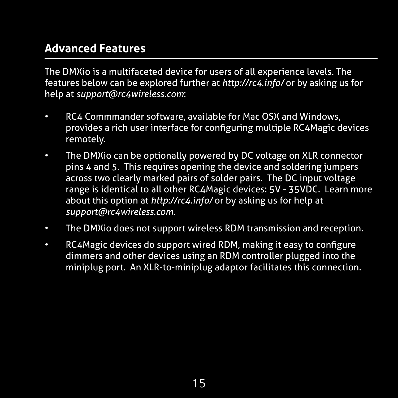#### **Advanced Features**

The DMXio is a multifaceted device for users of all experience levels. The features below can be explored further at *http://rc4.info/* or by asking us for help at *support@rc4wireless.com*:

- RC4 Commmander software, available for Mac OSX and Windows, provides a rich user interface for configuring multiple RC4Magic devices remotely.
- The DMXio can be optionally powered by DC voltage on XLR connector pins 4 and 5. This requires opening the device and soldering jumpers across two clearly marked pairs of solder pairs. The DC input voltage range is identical to all other RC4Magic devices: 5V - 35VDC. Learn more about this option at *http://rc4.info/* or by asking us for help at *support@rc4wireless.com.*
- The DMXio does not support wireless RDM transmission and reception.
- RC4Magic devices do support wired RDM, making it easy to configure dimmers and other devices using an RDM controller plugged into the miniplug port. An XLR-to-miniplug adaptor facilitates this connection.